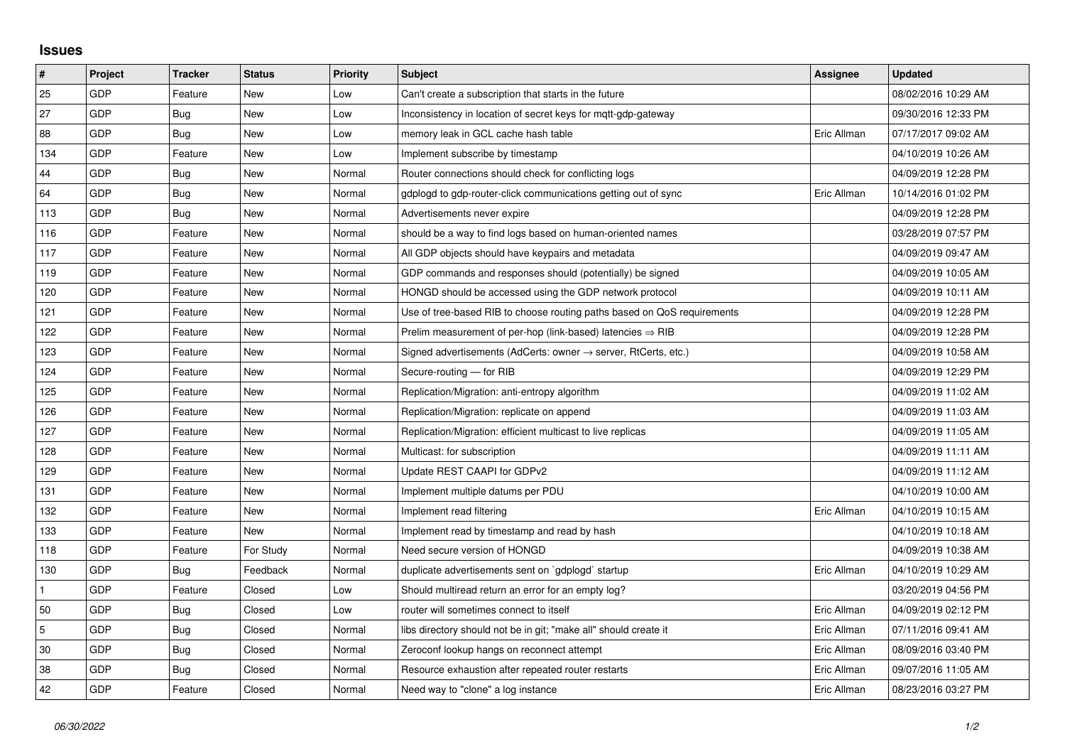## **Issues**

| #              | Project | <b>Tracker</b> | <b>Status</b> | <b>Priority</b> | <b>Subject</b>                                                             | <b>Assignee</b> | <b>Updated</b>      |
|----------------|---------|----------------|---------------|-----------------|----------------------------------------------------------------------------|-----------------|---------------------|
| 25             | GDP     | Feature        | <b>New</b>    | Low             | Can't create a subscription that starts in the future                      |                 | 08/02/2016 10:29 AM |
| 27             | GDP     | <b>Bug</b>     | New           | Low             | Inconsistency in location of secret keys for mqtt-gdp-gateway              |                 | 09/30/2016 12:33 PM |
| 88             | GDP     | Bug            | New           | Low             | memory leak in GCL cache hash table                                        | Eric Allman     | 07/17/2017 09:02 AM |
| 134            | GDP     | Feature        | New           | Low             | Implement subscribe by timestamp                                           |                 | 04/10/2019 10:26 AM |
| 44             | GDP     | <b>Bug</b>     | <b>New</b>    | Normal          | Router connections should check for conflicting logs                       |                 | 04/09/2019 12:28 PM |
| 64             | GDP     | <b>Bug</b>     | New           | Normal          | gdplogd to gdp-router-click communications getting out of sync             | Eric Allman     | 10/14/2016 01:02 PM |
| 113            | GDP     | <b>Bug</b>     | New           | Normal          | Advertisements never expire                                                |                 | 04/09/2019 12:28 PM |
| 116            | GDP     | Feature        | <b>New</b>    | Normal          | should be a way to find logs based on human-oriented names                 |                 | 03/28/2019 07:57 PM |
| 117            | GDP     | Feature        | New           | Normal          | All GDP objects should have keypairs and metadata                          |                 | 04/09/2019 09:47 AM |
| 119            | GDP     | Feature        | <b>New</b>    | Normal          | GDP commands and responses should (potentially) be signed                  |                 | 04/09/2019 10:05 AM |
| 120            | GDP     | Feature        | <b>New</b>    | Normal          | HONGD should be accessed using the GDP network protocol                    |                 | 04/09/2019 10:11 AM |
| 121            | GDP     | Feature        | New           | Normal          | Use of tree-based RIB to choose routing paths based on QoS requirements    |                 | 04/09/2019 12:28 PM |
| 122            | GDP     | Feature        | New           | Normal          | Prelim measurement of per-hop (link-based) latencies $\Rightarrow$ RIB     |                 | 04/09/2019 12:28 PM |
| 123            | GDP     | Feature        | New           | Normal          | Signed advertisements (AdCerts: owner $\rightarrow$ server, RtCerts, etc.) |                 | 04/09/2019 10:58 AM |
| 124            | GDP     | Feature        | New           | Normal          | Secure-routing - for RIB                                                   |                 | 04/09/2019 12:29 PM |
| 125            | GDP     | Feature        | New           | Normal          | Replication/Migration: anti-entropy algorithm                              |                 | 04/09/2019 11:02 AM |
| 126            | GDP     | Feature        | <b>New</b>    | Normal          | Replication/Migration: replicate on append                                 |                 | 04/09/2019 11:03 AM |
| 127            | GDP     | Feature        | New           | Normal          | Replication/Migration: efficient multicast to live replicas                |                 | 04/09/2019 11:05 AM |
| 128            | GDP     | Feature        | <b>New</b>    | Normal          | Multicast: for subscription                                                |                 | 04/09/2019 11:11 AM |
| 129            | GDP     | Feature        | New           | Normal          | Update REST CAAPI for GDPv2                                                |                 | 04/09/2019 11:12 AM |
| 131            | GDP     | Feature        | New           | Normal          | Implement multiple datums per PDU                                          |                 | 04/10/2019 10:00 AM |
| 132            | GDP     | Feature        | <b>New</b>    | Normal          | Implement read filtering                                                   | Eric Allman     | 04/10/2019 10:15 AM |
| 133            | GDP     | Feature        | New           | Normal          | Implement read by timestamp and read by hash                               |                 | 04/10/2019 10:18 AM |
| 118            | GDP     | Feature        | For Study     | Normal          | Need secure version of HONGD                                               |                 | 04/09/2019 10:38 AM |
| 130            | GDP     | <b>Bug</b>     | Feedback      | Normal          | duplicate advertisements sent on `gdplogd` startup                         | Eric Allman     | 04/10/2019 10:29 AM |
| $\mathbf{1}$   | GDP     | Feature        | Closed        | Low             | Should multiread return an error for an empty log?                         |                 | 03/20/2019 04:56 PM |
| 50             | GDP     | Bug            | Closed        | Low             | router will sometimes connect to itself                                    | Eric Allman     | 04/09/2019 02:12 PM |
| $\overline{5}$ | GDP     | <b>Bug</b>     | Closed        | Normal          | libs directory should not be in git; "make all" should create it           | Eric Allman     | 07/11/2016 09:41 AM |
| 30             | GDP     | Bug            | Closed        | Normal          | Zeroconf lookup hangs on reconnect attempt                                 | Eric Allman     | 08/09/2016 03:40 PM |
| 38             | GDP     | Bug            | Closed        | Normal          | Resource exhaustion after repeated router restarts                         | Eric Allman     | 09/07/2016 11:05 AM |
| 42             | GDP     | Feature        | Closed        | Normal          | Need way to "clone" a log instance                                         | Eric Allman     | 08/23/2016 03:27 PM |